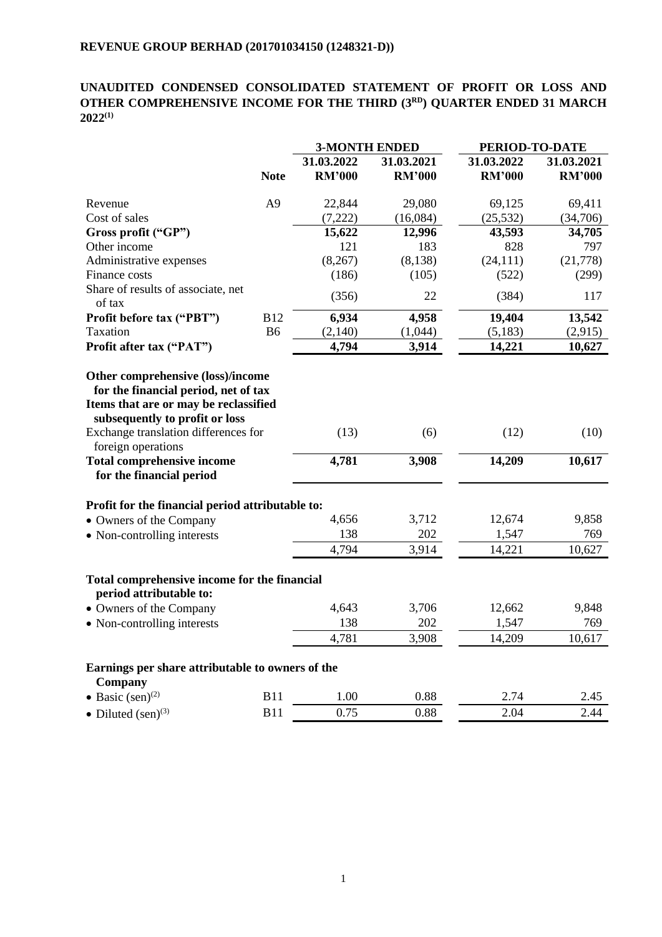# **UNAUDITED CONDENSED CONSOLIDATED STATEMENT OF PROFIT OR LOSS AND OTHER COMPREHENSIVE INCOME FOR THE THIRD (3 RD ) QUARTER ENDED 31 MARCH 2022 (1)**

|                                                                                              |                | <b>3-MONTH ENDED</b> |               |               | PERIOD-TO-DATE |  |
|----------------------------------------------------------------------------------------------|----------------|----------------------|---------------|---------------|----------------|--|
|                                                                                              |                | 31.03.2022           | 31.03.2021    | 31.03.2022    | 31.03.2021     |  |
|                                                                                              | <b>Note</b>    | <b>RM'000</b>        | <b>RM'000</b> | <b>RM'000</b> | <b>RM'000</b>  |  |
| Revenue                                                                                      | A <sub>9</sub> | 22,844               | 29,080        | 69,125        | 69,411         |  |
| Cost of sales                                                                                |                | (7,222)              | (16,084)      | (25, 532)     | (34,706)       |  |
| Gross profit ("GP")                                                                          |                | 15,622               | 12,996        | 43,593        | 34,705         |  |
| Other income                                                                                 |                | 121                  | 183           | 828           | 797            |  |
| Administrative expenses                                                                      |                | (8, 267)             | (8, 138)      | (24, 111)     | (21,778)       |  |
| Finance costs                                                                                |                | (186)                | (105)         | (522)         | (299)          |  |
| Share of results of associate, net<br>of tax                                                 |                | (356)                | 22            | (384)         | 117            |  |
| Profit before tax ("PBT")                                                                    | <b>B12</b>     | 6,934                | 4,958         | 19,404        | 13,542         |  |
| Taxation                                                                                     | <b>B6</b>      | (2,140)              | (1,044)       | (5,183)       | (2,915)        |  |
| Profit after tax ("PAT")                                                                     |                | 4,794                | 3,914         | 14,221        | 10,627         |  |
| subsequently to profit or loss<br>Exchange translation differences for<br>foreign operations |                | (13)                 | (6)           | (12)          | (10)           |  |
| <b>Total comprehensive income</b>                                                            |                | 4,781                | 3,908         | 14,209        | 10,617         |  |
| for the financial period                                                                     |                |                      |               |               |                |  |
| Profit for the financial period attributable to:                                             |                |                      |               |               |                |  |
| • Owners of the Company                                                                      |                | 4,656                | 3,712         | 12,674        | 9,858          |  |
| • Non-controlling interests                                                                  |                | 138                  | 202           | 1,547         | 769            |  |
|                                                                                              |                | 4,794                | 3,914         | 14,221        | 10,627         |  |
| Total comprehensive income for the financial<br>period attributable to:                      |                |                      |               |               |                |  |
| • Owners of the Company                                                                      |                | 4,643                | 3,706         | 12,662        | 9,848          |  |
| • Non-controlling interests                                                                  |                | 138                  | 202           | 1,547         | 769            |  |
|                                                                                              |                | 4,781                | 3,908         | 14,209        | 10,617         |  |
| Earnings per share attributable to owners of the<br>Company                                  |                |                      |               |               |                |  |
| • Basic $(\text{sen})^{(2)}$                                                                 | <b>B11</b>     | 1.00                 | 0.88          | 2.74          | 2.45           |  |
| • Diluted $(\text{sen})^{(3)}$                                                               | <b>B11</b>     | 0.75                 | 0.88          | 2.04          | 2.44           |  |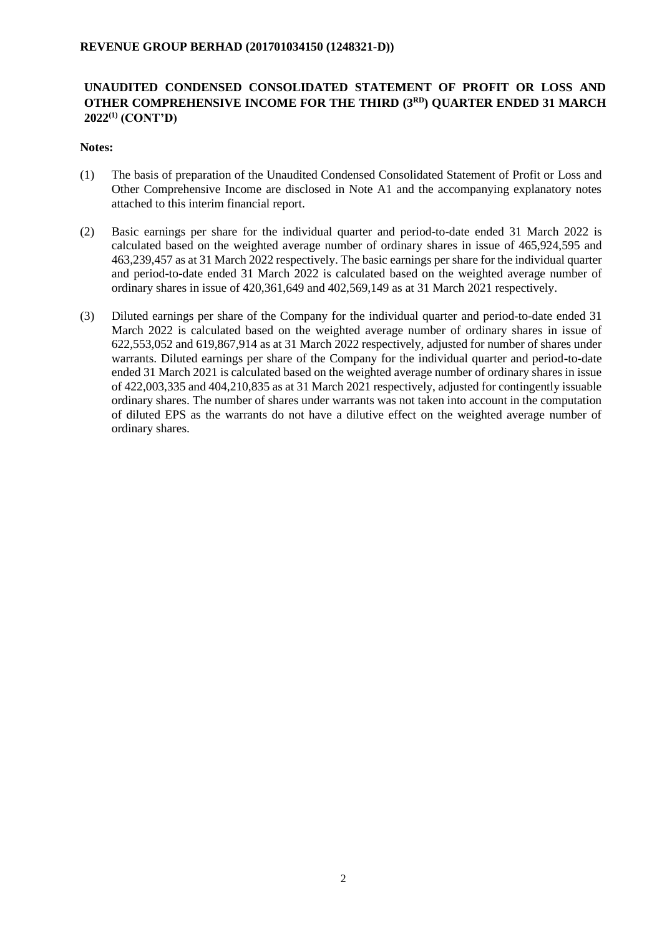## **UNAUDITED CONDENSED CONSOLIDATED STATEMENT OF PROFIT OR LOSS AND OTHER COMPREHENSIVE INCOME FOR THE THIRD (3 RD ) QUARTER ENDED 31 MARCH 2022 (1) (CONT'D)**

#### **Notes:**

- (1) The basis of preparation of the Unaudited Condensed Consolidated Statement of Profit or Loss and Other Comprehensive Income are disclosed in Note A1 and the accompanying explanatory notes attached to this interim financial report.
- (2) Basic earnings per share for the individual quarter and period-to-date ended 31 March 2022 is calculated based on the weighted average number of ordinary shares in issue of 465,924,595 and 463,239,457 as at 31 March 2022 respectively. The basic earnings per share for the individual quarter and period-to-date ended 31 March 2022 is calculated based on the weighted average number of ordinary shares in issue of 420,361,649 and 402,569,149 as at 31 March 2021 respectively.
- (3) Diluted earnings per share of the Company for the individual quarter and period-to-date ended 31 March 2022 is calculated based on the weighted average number of ordinary shares in issue of 622,553,052 and 619,867,914 as at 31 March 2022 respectively, adjusted for number of shares under warrants. Diluted earnings per share of the Company for the individual quarter and period-to-date ended 31 March 2021 is calculated based on the weighted average number of ordinary shares in issue of 422,003,335 and 404,210,835 as at 31 March 2021 respectively, adjusted for contingently issuable ordinary shares. The number of shares under warrants was not taken into account in the computation of diluted EPS as the warrants do not have a dilutive effect on the weighted average number of ordinary shares.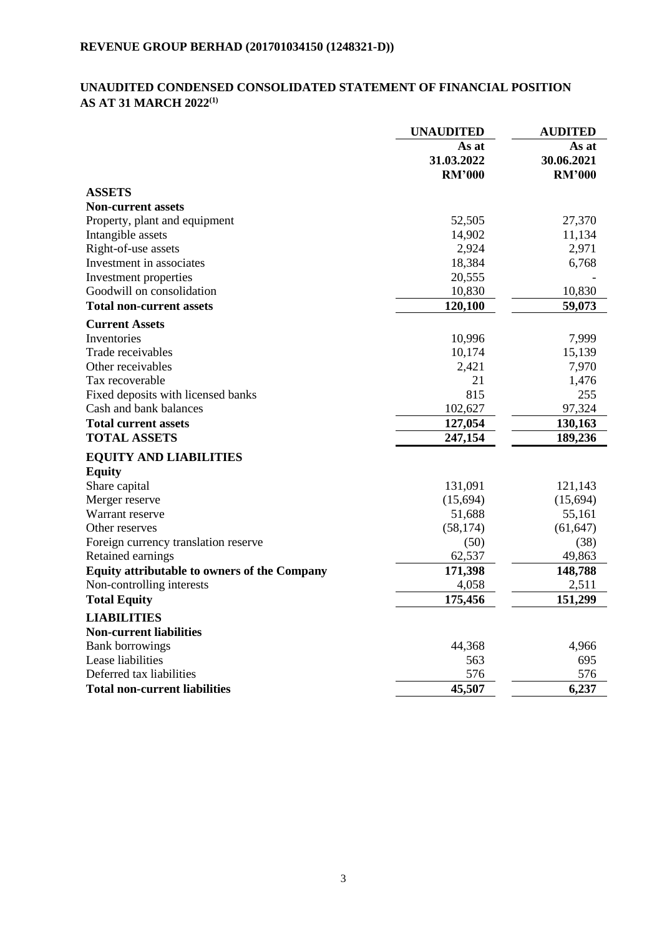# **UNAUDITED CONDENSED CONSOLIDATED STATEMENT OF FINANCIAL POSITION AS AT 31 MARCH 2022 (1)**

|                                                     | <b>UNAUDITED</b>                     | <b>AUDITED</b>                       |
|-----------------------------------------------------|--------------------------------------|--------------------------------------|
|                                                     | As at<br>31.03.2022<br><b>RM'000</b> | As at<br>30.06.2021<br><b>RM'000</b> |
| <b>ASSETS</b>                                       |                                      |                                      |
| <b>Non-current assets</b>                           |                                      |                                      |
| Property, plant and equipment                       | 52,505                               | 27,370                               |
| Intangible assets                                   | 14,902                               | 11,134                               |
| Right-of-use assets                                 | 2,924                                | 2,971                                |
| Investment in associates                            | 18,384                               | 6,768                                |
| Investment properties                               | 20,555                               |                                      |
| Goodwill on consolidation                           | 10,830                               | 10,830                               |
| <b>Total non-current assets</b>                     | 120,100                              | 59,073                               |
| <b>Current Assets</b>                               |                                      |                                      |
| Inventories                                         | 10,996                               | 7,999                                |
| Trade receivables                                   | 10,174                               | 15,139                               |
| Other receivables                                   | 2,421                                | 7,970                                |
| Tax recoverable                                     | 21                                   | 1,476                                |
| Fixed deposits with licensed banks                  | 815                                  | 255                                  |
| Cash and bank balances                              | 102,627                              | 97,324                               |
| <b>Total current assets</b>                         | 127,054                              | 130,163                              |
| <b>TOTAL ASSETS</b>                                 | 247,154                              | 189,236                              |
| <b>EQUITY AND LIABILITIES</b>                       |                                      |                                      |
| <b>Equity</b>                                       |                                      |                                      |
| Share capital                                       | 131,091                              | 121,143                              |
| Merger reserve                                      | (15,694)                             | (15,694)                             |
| Warrant reserve                                     | 51,688                               | 55,161                               |
| Other reserves                                      | (58, 174)                            | (61, 647)                            |
| Foreign currency translation reserve                | (50)                                 | (38)                                 |
| Retained earnings                                   | 62,537                               | 49,863                               |
| <b>Equity attributable to owners of the Company</b> | 171,398                              | 148,788                              |
| Non-controlling interests                           | 4,058                                | 2,511                                |
| <b>Total Equity</b>                                 | 175,456                              | 151,299                              |
| <b>LIABILITIES</b>                                  |                                      |                                      |
| <b>Non-current liabilities</b>                      |                                      |                                      |
| <b>Bank borrowings</b>                              | 44,368                               | 4,966                                |
| Lease liabilities                                   | 563                                  | 695                                  |
| Deferred tax liabilities                            | 576                                  | 576                                  |
| Total non-current liabilities                       | 45,507                               | 6,237                                |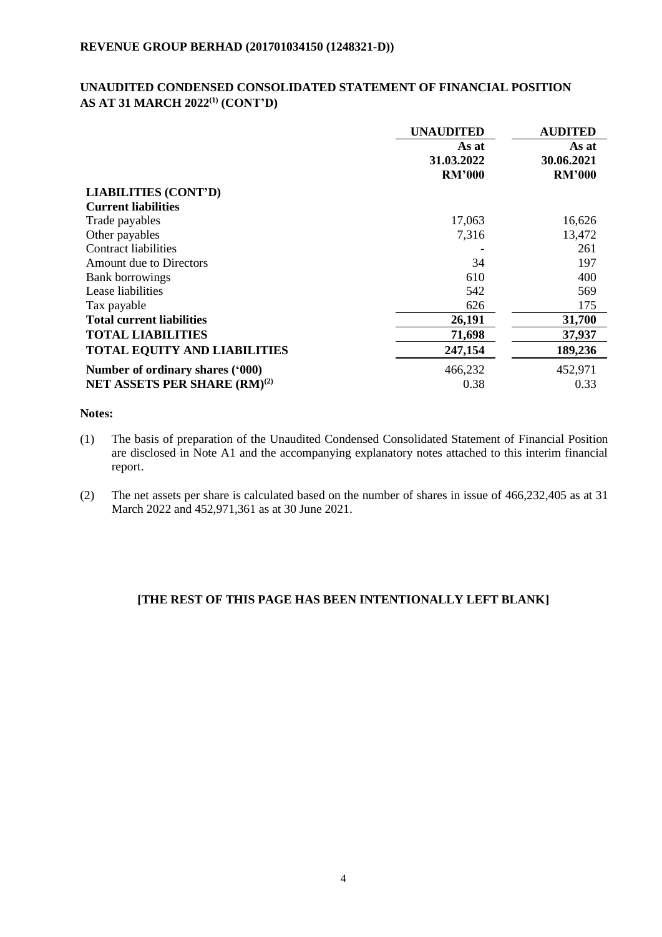## **UNAUDITED CONDENSED CONSOLIDATED STATEMENT OF FINANCIAL POSITION AS AT 31 MARCH 2022<sup>(1)</sup> (CONT'D)**

|                                          | <b>UNAUDITED</b> | <b>AUDITED</b> |  |
|------------------------------------------|------------------|----------------|--|
|                                          | As at            | As at          |  |
|                                          | 31.03.2022       | 30.06.2021     |  |
|                                          | <b>RM'000</b>    | <b>RM'000</b>  |  |
| <b>LIABILITIES (CONT'D)</b>              |                  |                |  |
| <b>Current liabilities</b>               |                  |                |  |
| Trade payables                           | 17,063           | 16,626         |  |
| Other payables                           | 7,316            | 13,472         |  |
| Contract liabilities                     |                  | 261            |  |
| Amount due to Directors                  | 34               | 197            |  |
| <b>Bank borrowings</b>                   | 610              | 400            |  |
| Lease liabilities                        | 542              | 569            |  |
| Tax payable                              | 626              | 175            |  |
| <b>Total current liabilities</b>         | 26,191           | 31,700         |  |
| <b>TOTAL LIABILITIES</b>                 | 71,698           | 37,937         |  |
| <b>TOTAL EQUITY AND LIABILITIES</b>      | 247,154          | 189,236        |  |
| Number of ordinary shares ('000)         | 466,232          | 452,971        |  |
| NET ASSETS PER SHARE (RM) <sup>(2)</sup> | 0.38             | 0.33           |  |

## **Notes:**

- (1) The basis of preparation of the Unaudited Condensed Consolidated Statement of Financial Position are disclosed in Note A1 and the accompanying explanatory notes attached to this interim financial report.
- (2) The net assets per share is calculated based on the number of shares in issue of 466,232,405 as at 31 March 2022 and 452,971,361 as at 30 June 2021.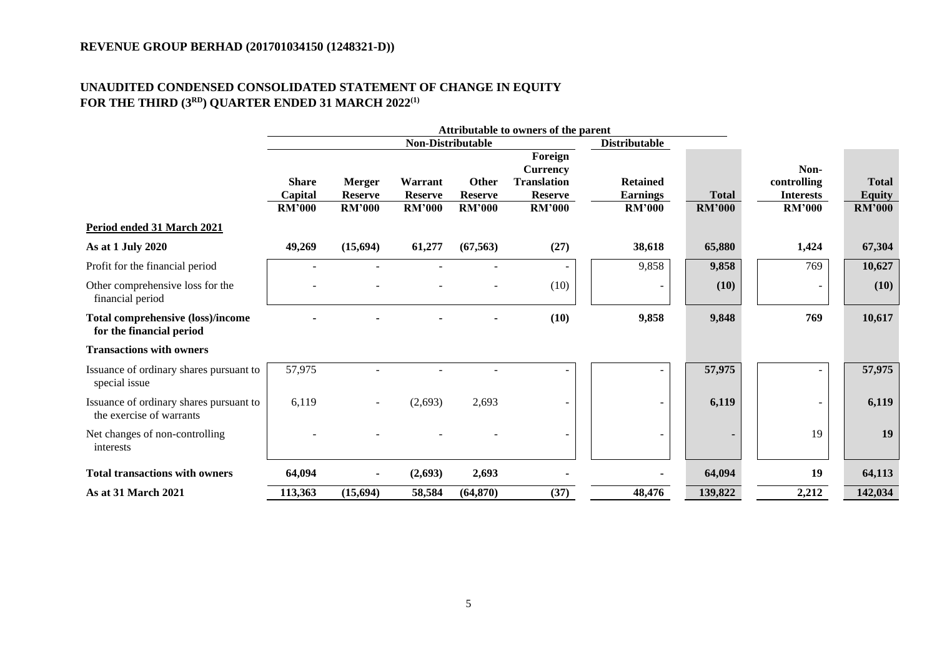## **UNAUDITED CONDENSED CONSOLIDATED STATEMENT OF CHANGE IN EQUITY FOR THE THIRD (3 RD ) QUARTER ENDED 31 MARCH 2022 (1)**

|                                                                      |                          |                                 |                           |                         | Attributable to owners of the parent |                                  |               |                                   |                                |
|----------------------------------------------------------------------|--------------------------|---------------------------------|---------------------------|-------------------------|--------------------------------------|----------------------------------|---------------|-----------------------------------|--------------------------------|
|                                                                      |                          |                                 | <b>Non-Distributable</b>  |                         |                                      | <b>Distributable</b>             |               |                                   |                                |
|                                                                      |                          |                                 |                           |                         | Foreign<br><b>Currency</b>           |                                  |               | Non-                              |                                |
|                                                                      | <b>Share</b>             | <b>Merger</b>                   | Warrant<br><b>Reserve</b> | Other<br><b>Reserve</b> | <b>Translation</b>                   | <b>Retained</b>                  | <b>Total</b>  | controlling                       | <b>Total</b>                   |
|                                                                      | Capital<br><b>RM'000</b> | <b>Reserve</b><br><b>RM'000</b> | <b>RM'000</b>             | <b>RM'000</b>           | <b>Reserve</b><br><b>RM'000</b>      | <b>Earnings</b><br><b>RM'000</b> | <b>RM'000</b> | <b>Interests</b><br><b>RM'000</b> | <b>Equity</b><br><b>RM'000</b> |
| Period ended 31 March 2021                                           |                          |                                 |                           |                         |                                      |                                  |               |                                   |                                |
| As at 1 July 2020                                                    | 49,269                   | (15,694)                        | 61,277                    | (67, 563)               | (27)                                 | 38,618                           | 65,880        | 1,424                             | 67,304                         |
| Profit for the financial period                                      |                          |                                 |                           |                         | ۰                                    | 9,858                            | 9,858         | 769                               | 10,627                         |
| Other comprehensive loss for the<br>financial period                 |                          |                                 |                           |                         | (10)                                 |                                  | (10)          |                                   | (10)                           |
| <b>Total comprehensive (loss)/income</b><br>for the financial period |                          |                                 |                           |                         | (10)                                 | 9,858                            | 9,848         | 769                               | 10,617                         |
| <b>Transactions with owners</b>                                      |                          |                                 |                           |                         |                                      |                                  |               |                                   |                                |
| Issuance of ordinary shares pursuant to<br>special issue             | 57,975                   |                                 |                           |                         |                                      |                                  | 57,975        |                                   | 57,975                         |
| Issuance of ordinary shares pursuant to<br>the exercise of warrants  | 6,119                    |                                 | (2,693)                   | 2,693                   | $\overline{\phantom{a}}$             |                                  | 6,119         | $\overline{\phantom{a}}$          | 6,119                          |
| Net changes of non-controlling<br>interests                          |                          |                                 |                           |                         | ۰                                    |                                  |               | 19                                | 19                             |
| <b>Total transactions with owners</b>                                | 64,094                   |                                 | (2,693)                   | 2,693                   |                                      |                                  | 64,094        | 19                                | 64,113                         |
| As at 31 March 2021                                                  | 113,363                  | (15,694)                        | 58,584                    | (64, 870)               | (37)                                 | 48,476                           | 139,822       | 2,212                             | 142,034                        |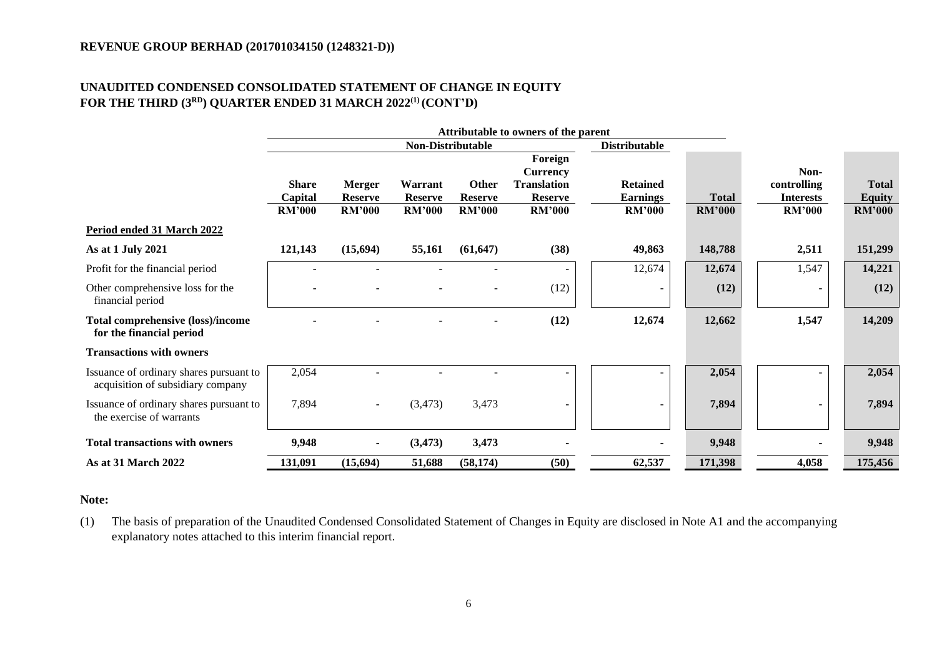## **UNAUDITED CONDENSED CONSOLIDATED STATEMENT OF CHANGE IN EQUITY FOR THE THIRD (3 RD ) QUARTER ENDED 31 MARCH 2022 (1) (CONT'D)**

|                                                                              |                                          |                                                  |                                            |                                                 | Attributable to owners of the parent                                                |                                                     |                               |                                                          |                                                |
|------------------------------------------------------------------------------|------------------------------------------|--------------------------------------------------|--------------------------------------------|-------------------------------------------------|-------------------------------------------------------------------------------------|-----------------------------------------------------|-------------------------------|----------------------------------------------------------|------------------------------------------------|
|                                                                              |                                          |                                                  | <b>Non-Distributable</b>                   |                                                 |                                                                                     | <b>Distributable</b>                                |                               |                                                          |                                                |
|                                                                              | <b>Share</b><br>Capital<br><b>RM'000</b> | <b>Merger</b><br><b>Reserve</b><br><b>RM'000</b> | Warrant<br><b>Reserve</b><br><b>RM'000</b> | <b>Other</b><br><b>Reserve</b><br><b>RM'000</b> | Foreign<br><b>Currency</b><br><b>Translation</b><br><b>Reserve</b><br><b>RM'000</b> | <b>Retained</b><br><b>Earnings</b><br><b>RM'000</b> | <b>Total</b><br><b>RM'000</b> | Non-<br>controlling<br><b>Interests</b><br><b>RM'000</b> | <b>Total</b><br><b>Equity</b><br><b>RM'000</b> |
| Period ended 31 March 2022                                                   |                                          |                                                  |                                            |                                                 |                                                                                     |                                                     |                               |                                                          |                                                |
| As at 1 July 2021                                                            | 121,143                                  | (15,694)                                         | 55,161                                     | (61, 647)                                       | (38)                                                                                | 49,863                                              | 148,788                       | 2,511                                                    | 151,299                                        |
| Profit for the financial period                                              |                                          |                                                  |                                            |                                                 |                                                                                     | 12,674                                              | 12,674                        | 1,547                                                    | 14,221                                         |
| Other comprehensive loss for the<br>financial period                         |                                          |                                                  |                                            |                                                 | (12)                                                                                |                                                     | (12)                          |                                                          | (12)                                           |
| <b>Total comprehensive (loss)/income</b><br>for the financial period         |                                          |                                                  |                                            |                                                 | (12)                                                                                | 12,674                                              | 12,662                        | 1,547                                                    | 14,209                                         |
| <b>Transactions with owners</b>                                              |                                          |                                                  |                                            |                                                 |                                                                                     |                                                     |                               |                                                          |                                                |
| Issuance of ordinary shares pursuant to<br>acquisition of subsidiary company | 2,054                                    |                                                  |                                            |                                                 | ۰                                                                                   |                                                     | 2,054                         |                                                          | 2,054                                          |
| Issuance of ordinary shares pursuant to<br>the exercise of warrants          | 7,894                                    |                                                  | (3, 473)                                   | 3,473                                           | $\overline{\phantom{0}}$                                                            |                                                     | 7,894                         |                                                          | 7,894                                          |
| <b>Total transactions with owners</b>                                        | 9,948                                    |                                                  | (3, 473)                                   | 3,473                                           |                                                                                     |                                                     | 9,948                         |                                                          | 9,948                                          |
| As at 31 March 2022                                                          | 131,091                                  | (15,694)                                         | 51,688                                     | (58, 174)                                       | (50)                                                                                | 62,537                                              | 171,398                       | 4,058                                                    | 175,456                                        |

## **Note:**

(1) The basis of preparation of the Unaudited Condensed Consolidated Statement of Changes in Equity are disclosed in Note A1 and the accompanying explanatory notes attached to this interim financial report.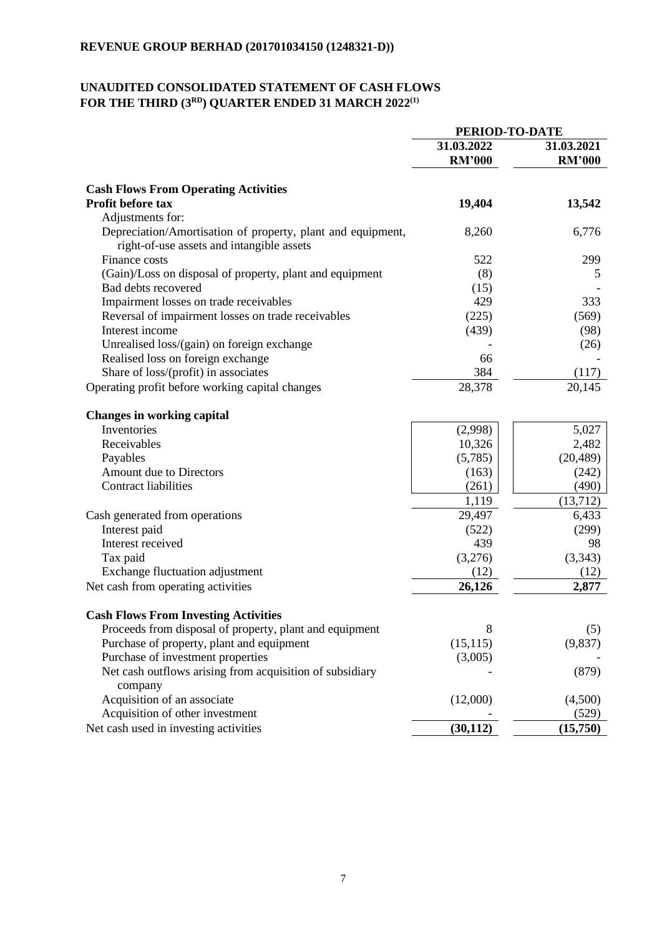# **UNAUDITED CONSOLIDATED STATEMENT OF CASH FLOWS FOR THE THIRD (3 RD ) QUARTER ENDED 31 MARCH 2022 (1)**

|                                                                                                          | PERIOD-TO-DATE |               |
|----------------------------------------------------------------------------------------------------------|----------------|---------------|
|                                                                                                          | 31.03.2022     | 31.03.2021    |
|                                                                                                          | <b>RM'000</b>  | <b>RM'000</b> |
| <b>Cash Flows From Operating Activities</b>                                                              |                |               |
| Profit before tax                                                                                        | 19,404         | 13,542        |
| Adjustments for:                                                                                         |                |               |
| Depreciation/Amortisation of property, plant and equipment,<br>right-of-use assets and intangible assets | 8,260          | 6,776         |
| Finance costs                                                                                            | 522            | 299           |
| (Gain)/Loss on disposal of property, plant and equipment                                                 | (8)            | 5             |
| Bad debts recovered                                                                                      | (15)           |               |
| Impairment losses on trade receivables                                                                   | 429            | 333           |
| Reversal of impairment losses on trade receivables                                                       | (225)          | (569)         |
| Interest income                                                                                          | (439)          | (98)          |
| Unrealised loss/(gain) on foreign exchange                                                               |                | (26)          |
| Realised loss on foreign exchange                                                                        | 66             |               |
| Share of loss/(profit) in associates                                                                     | 384            | (117)         |
| Operating profit before working capital changes                                                          | 28,378         | 20,145        |
| <b>Changes in working capital</b>                                                                        |                |               |
| Inventories                                                                                              | (2,998)        | 5,027         |
| Receivables                                                                                              | 10,326         | 2,482         |
| Payables                                                                                                 | (5,785)        | (20, 489)     |
| Amount due to Directors                                                                                  | (163)          | (242)         |
| <b>Contract liabilities</b>                                                                              | (261)          | (490)         |
|                                                                                                          | 1,119          | (13,712)      |
| Cash generated from operations                                                                           | 29,497         | 6,433         |
| Interest paid                                                                                            | (522)          | (299)         |
| Interest received                                                                                        | 439            | 98            |
| Tax paid                                                                                                 | (3,276)        | (3,343)       |
| Exchange fluctuation adjustment                                                                          | (12)           | (12)          |
| Net cash from operating activities                                                                       | 26,126         | 2,877         |
| <b>Cash Flows From Investing Activities</b>                                                              |                |               |
| Proceeds from disposal of property, plant and equipment                                                  | 8              | (5)           |
| Purchase of property, plant and equipment                                                                | (15, 115)      | (9,837)       |
| Purchase of investment properties                                                                        | (3,005)        |               |
| Net cash outflows arising from acquisition of subsidiary<br>company                                      |                | (879)         |
| Acquisition of an associate                                                                              | (12,000)       | (4,500)       |
| Acquisition of other investment                                                                          |                | (529)         |
| Net cash used in investing activities                                                                    | (30, 112)      | (15,750)      |
|                                                                                                          |                |               |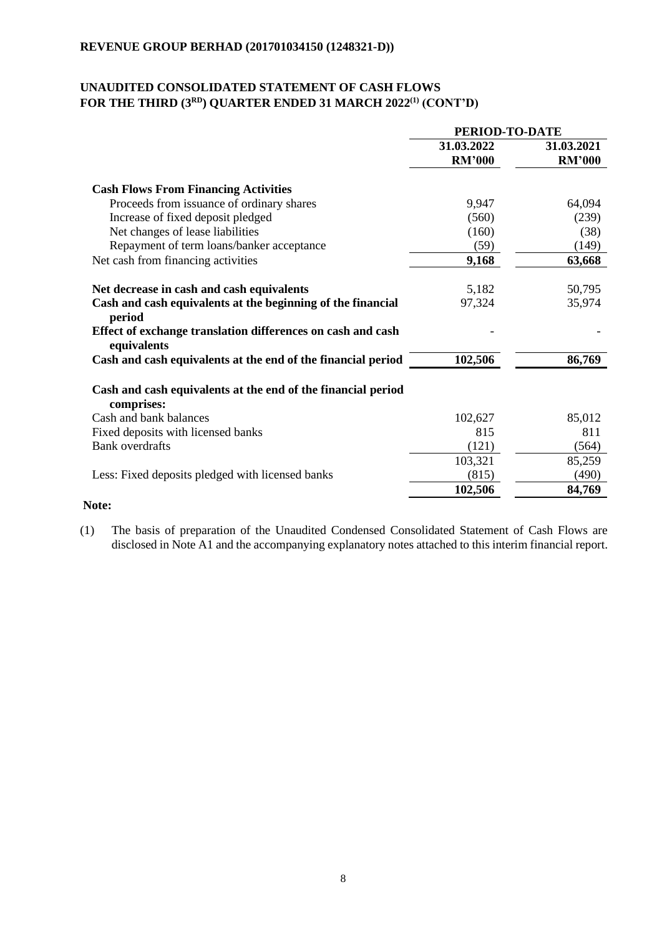## **UNAUDITED CONSOLIDATED STATEMENT OF CASH FLOWS FOR THE THIRD (3 RD ) QUARTER ENDED 31 MARCH 2022 (1) (CONT'D)**

|                                                                            | PERIOD-TO-DATE |               |  |
|----------------------------------------------------------------------------|----------------|---------------|--|
|                                                                            | 31.03.2022     | 31.03.2021    |  |
|                                                                            | <b>RM'000</b>  | <b>RM'000</b> |  |
| <b>Cash Flows From Financing Activities</b>                                |                |               |  |
| Proceeds from issuance of ordinary shares                                  | 9,947          | 64,094        |  |
| Increase of fixed deposit pledged                                          | (560)          | (239)         |  |
| Net changes of lease liabilities                                           | (160)          | (38)          |  |
| Repayment of term loans/banker acceptance                                  | (59)           | (149)         |  |
| Net cash from financing activities                                         | 9,168          | 63,668        |  |
| Net decrease in cash and cash equivalents                                  | 5,182          | 50,795        |  |
| Cash and cash equivalents at the beginning of the financial<br>period      | 97,324         | 35,974        |  |
| Effect of exchange translation differences on cash and cash<br>equivalents |                |               |  |
| Cash and cash equivalents at the end of the financial period               | 102,506        | 86,769        |  |
| Cash and cash equivalents at the end of the financial period<br>comprises: |                |               |  |
| Cash and bank balances                                                     | 102,627        | 85,012        |  |
| Fixed deposits with licensed banks                                         | 815            | 811           |  |
| <b>Bank</b> overdrafts                                                     | (121)          | (564)         |  |
|                                                                            | 103,321        | 85,259        |  |
| Less: Fixed deposits pledged with licensed banks                           | (815)          | (490)         |  |
|                                                                            | 102,506        | 84,769        |  |
| Note:                                                                      |                |               |  |

(1) The basis of preparation of the Unaudited Condensed Consolidated Statement of Cash Flows are disclosed in Note A1 and the accompanying explanatory notes attached to this interim financial report.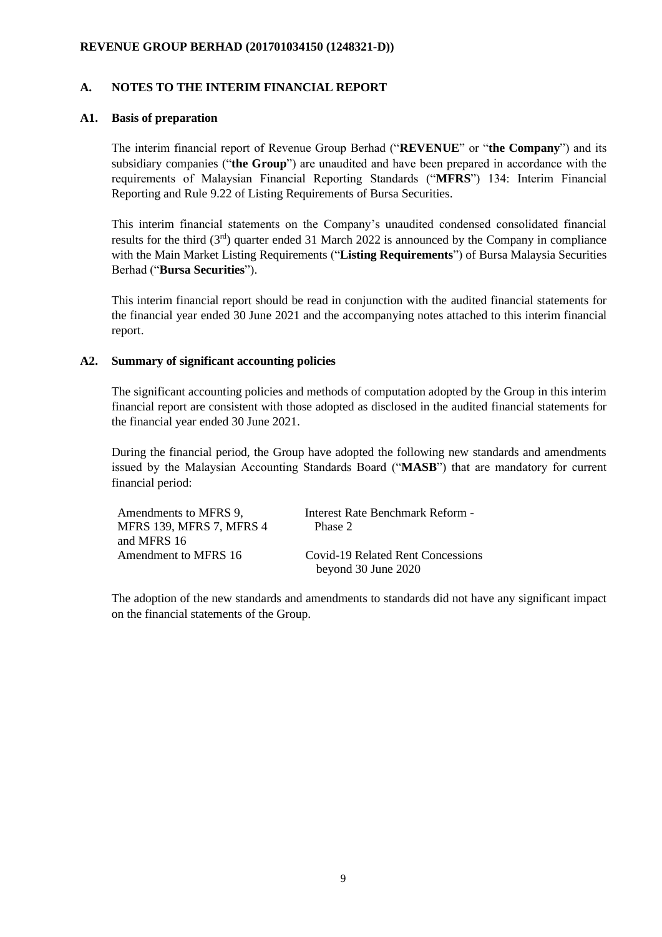### **A. NOTES TO THE INTERIM FINANCIAL REPORT**

### **A1. Basis of preparation**

The interim financial report of Revenue Group Berhad ("**REVENUE**" or "**the Company**") and its subsidiary companies ("**the Group**") are unaudited and have been prepared in accordance with the requirements of Malaysian Financial Reporting Standards ("**MFRS**") 134: Interim Financial Reporting and Rule 9.22 of Listing Requirements of Bursa Securities.

This interim financial statements on the Company's unaudited condensed consolidated financial results for the third  $(3<sup>rd</sup>)$  quarter ended 31 March 2022 is announced by the Company in compliance with the Main Market Listing Requirements ("**Listing Requirements**") of Bursa Malaysia Securities Berhad ("**Bursa Securities**").

This interim financial report should be read in conjunction with the audited financial statements for the financial year ended 30 June 2021 and the accompanying notes attached to this interim financial report.

## **A2. Summary of significant accounting policies**

The significant accounting policies and methods of computation adopted by the Group in this interim financial report are consistent with those adopted as disclosed in the audited financial statements for the financial year ended 30 June 2021.

During the financial period, the Group have adopted the following new standards and amendments issued by the Malaysian Accounting Standards Board ("**MASB**") that are mandatory for current financial period:

| Amendments to MFRS 9,           | Interest Rate Benchmark Reform -  |
|---------------------------------|-----------------------------------|
| <b>MFRS 139, MFRS 7, MFRS 4</b> | Phase 2                           |
| and MFRS 16                     |                                   |
| Amendment to MFRS 16            | Covid-19 Related Rent Concessions |
|                                 | beyond 30 June 2020               |

The adoption of the new standards and amendments to standards did not have any significant impact on the financial statements of the Group.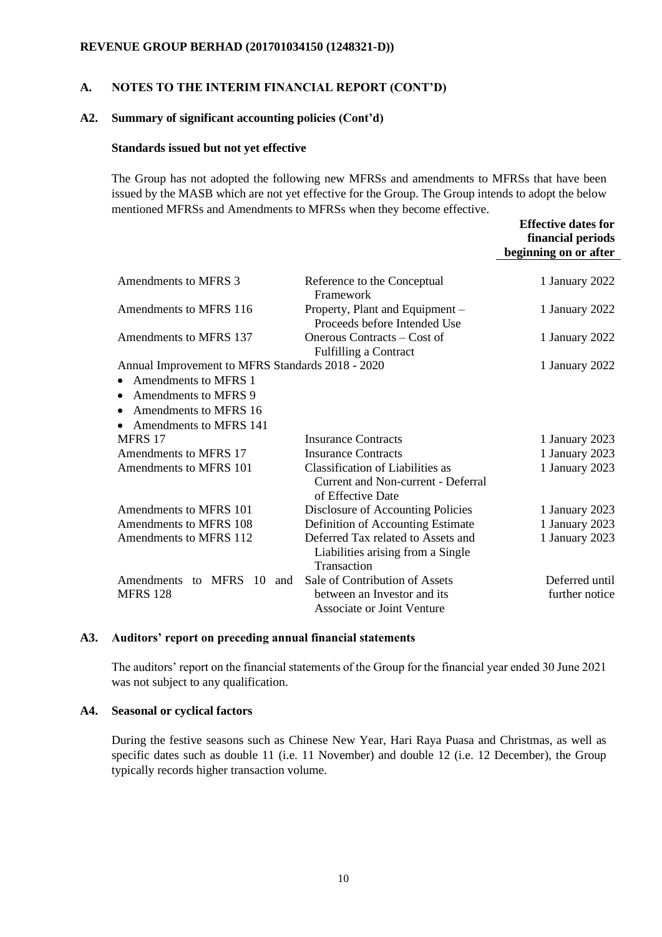### **A. NOTES TO THE INTERIM FINANCIAL REPORT (CONT'D)**

#### **A2. Summary of significant accounting policies (Cont'd)**

#### **Standards issued but not yet effective**

The Group has not adopted the following new MFRSs and amendments to MFRSs that have been issued by the MASB which are not yet effective for the Group. The Group intends to adopt the below mentioned MFRSs and Amendments to MFRSs when they become effective.

|                                                  |                                                                                             | <b>Effective dates for</b> |
|--------------------------------------------------|---------------------------------------------------------------------------------------------|----------------------------|
|                                                  |                                                                                             | financial periods          |
|                                                  |                                                                                             | beginning on or after      |
|                                                  |                                                                                             |                            |
| Amendments to MFRS 3                             | Reference to the Conceptual<br>Framework                                                    | 1 January 2022             |
| Amendments to MFRS 116                           | Property, Plant and Equipment -<br>Proceeds before Intended Use                             | 1 January 2022             |
| Amendments to MFRS 137                           | Onerous Contracts – Cost of<br><b>Fulfilling a Contract</b>                                 | 1 January 2022             |
| Annual Improvement to MFRS Standards 2018 - 2020 |                                                                                             | 1 January 2022             |
| Amendments to MFRS 1                             |                                                                                             |                            |
| Amendments to MFRS 9<br>٠                        |                                                                                             |                            |
| Amendments to MFRS 16                            |                                                                                             |                            |
| Amendments to MFRS 141                           |                                                                                             |                            |
| MFRS 17                                          | <b>Insurance Contracts</b>                                                                  | 1 January 2023             |
| Amendments to MFRS 17                            | <b>Insurance Contracts</b>                                                                  | 1 January 2023             |
| Amendments to MFRS 101                           | Classification of Liabilities as<br>Current and Non-current - Deferral<br>of Effective Date | 1 January 2023             |
| Amendments to MFRS 101                           | Disclosure of Accounting Policies                                                           | 1 January 2023             |
| Amendments to MFRS 108                           | Definition of Accounting Estimate                                                           | 1 January 2023             |
| Amendments to MFRS 112                           | Deferred Tax related to Assets and<br>Liabilities arising from a Single<br>Transaction      | 1 January 2023             |
| Amendments to MFRS<br>10<br>and                  | Sale of Contribution of Assets                                                              | Deferred until             |
| <b>MFRS 128</b>                                  | between an Investor and its<br><b>Associate or Joint Venture</b>                            | further notice             |

#### **A3. Auditors' report on preceding annual financial statements**

The auditors' report on the financial statements of the Group for the financial year ended 30 June 2021 was not subject to any qualification.

### **A4. Seasonal or cyclical factors**

During the festive seasons such as Chinese New Year, Hari Raya Puasa and Christmas, as well as specific dates such as double 11 (i.e. 11 November) and double 12 (i.e. 12 December), the Group typically records higher transaction volume.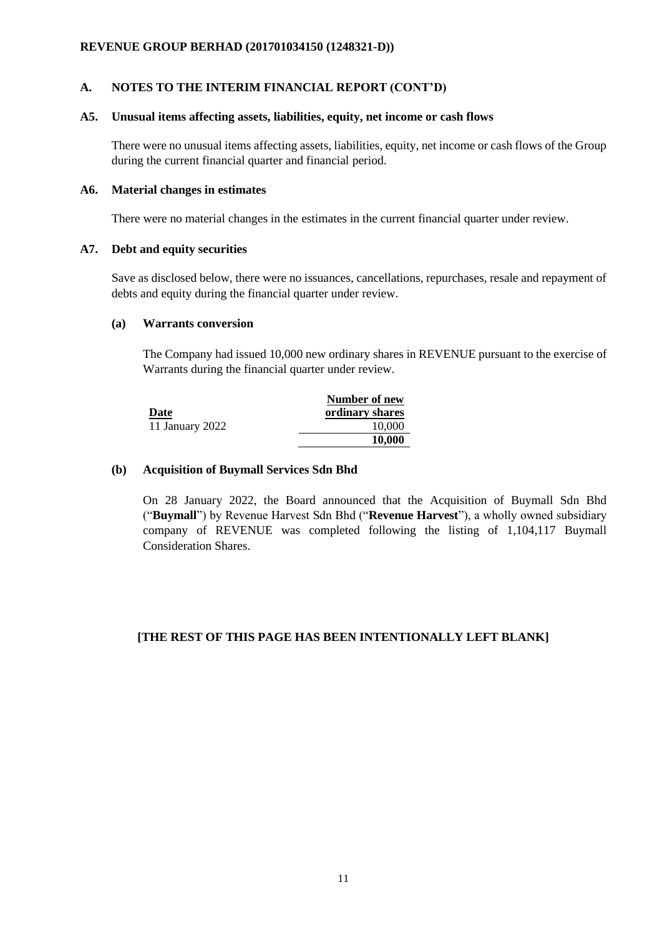## **A. NOTES TO THE INTERIM FINANCIAL REPORT (CONT'D)**

#### **A5. Unusual items affecting assets, liabilities, equity, net income or cash flows**

There were no unusual items affecting assets, liabilities, equity, net income or cash flows of the Group during the current financial quarter and financial period.

### **A6. Material changes in estimates**

There were no material changes in the estimates in the current financial quarter under review.

#### **A7. Debt and equity securities**

Save as disclosed below, there were no issuances, cancellations, repurchases, resale and repayment of debts and equity during the financial quarter under review.

### **(a) Warrants conversion**

The Company had issued 10,000 new ordinary shares in REVENUE pursuant to the exercise of Warrants during the financial quarter under review.

|                 | Number of new   |
|-----------------|-----------------|
| Date            | ordinary shares |
| 11 January 2022 | 10,000          |
|                 | 10,000          |

## **(b) Acquisition of Buymall Services Sdn Bhd**

On 28 January 2022, the Board announced that the Acquisition of Buymall Sdn Bhd ("**Buymall**") by Revenue Harvest Sdn Bhd ("**Revenue Harvest**"), a wholly owned subsidiary company of REVENUE was completed following the listing of 1,104,117 Buymall Consideration Shares.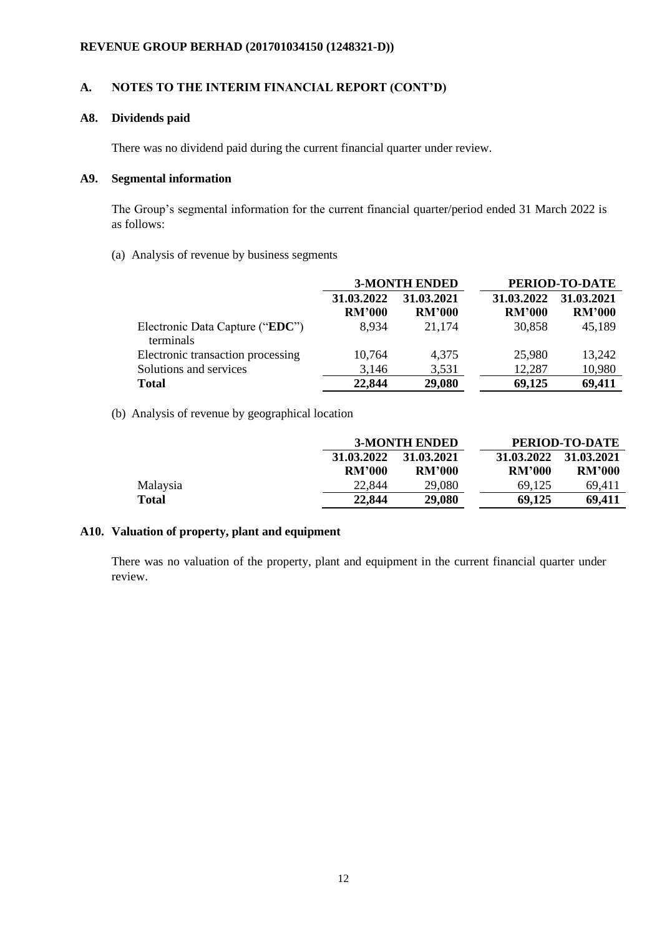## **A. NOTES TO THE INTERIM FINANCIAL REPORT (CONT'D)**

## **A8. Dividends paid**

There was no dividend paid during the current financial quarter under review.

## **A9. Segmental information**

The Group's segmental information for the current financial quarter/period ended 31 March 2022 is as follows:

(a) Analysis of revenue by business segments

|                                              |               | <b>3-MONTH ENDED</b> | PERIOD-TO-DATE |               |  |
|----------------------------------------------|---------------|----------------------|----------------|---------------|--|
|                                              | 31.03.2022    | 31.03.2021           | 31.03.2022     | 31.03.2021    |  |
|                                              | <b>RM'000</b> | <b>RM'000</b>        | <b>RM'000</b>  | <b>RM'000</b> |  |
| Electronic Data Capture ("EDC")<br>terminals | 8,934         | 21,174               | 30.858         | 45,189        |  |
| Electronic transaction processing            | 10,764        | 4,375                | 25,980         | 13,242        |  |
| Solutions and services                       | 3,146         | 3,531                | 12,287         | 10,980        |  |
| <b>Total</b>                                 | 22,844        | 29,080               | 69,125         | 69,411        |  |

(b) Analysis of revenue by geographical location

|              |               | <b>3-MONTH ENDED</b> | PERIOD-TO-DATE |               |  |
|--------------|---------------|----------------------|----------------|---------------|--|
|              | 31.03.2022    | 31.03.2021           | 31.03.2022     | 31.03.2021    |  |
|              | <b>RM'000</b> | <b>RM'000</b>        | <b>RM'000</b>  | <b>RM'000</b> |  |
| Malaysia     | 22,844        | 29,080               | 69.125         | 69.411        |  |
| <b>Total</b> | 22,844        | 29,080               | 69,125         | 69.411        |  |

## **A10. Valuation of property, plant and equipment**

There was no valuation of the property, plant and equipment in the current financial quarter under review.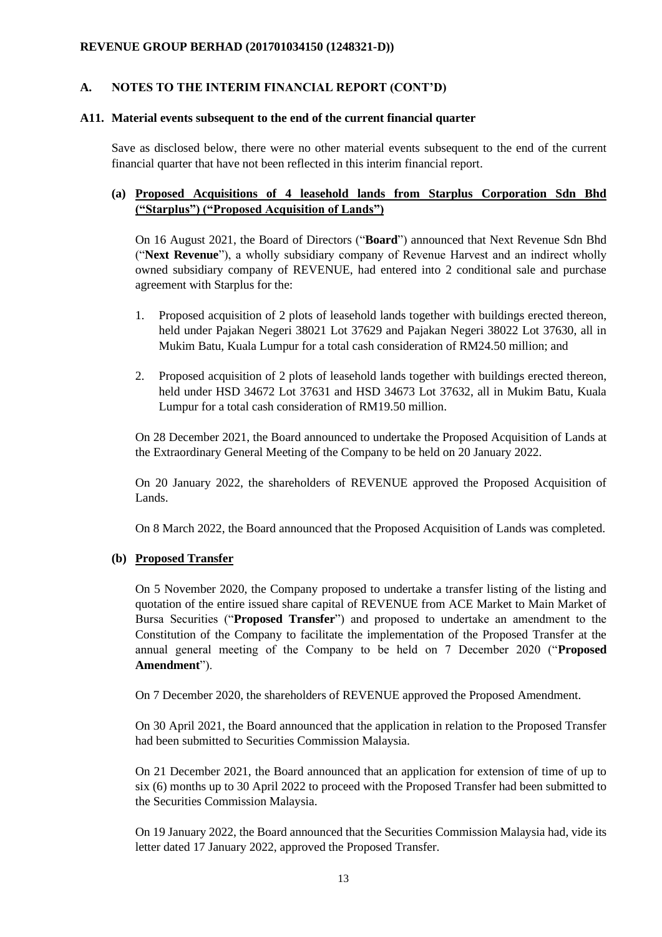## **A. NOTES TO THE INTERIM FINANCIAL REPORT (CONT'D)**

### **A11. Material events subsequent to the end of the current financial quarter**

Save as disclosed below, there were no other material events subsequent to the end of the current financial quarter that have not been reflected in this interim financial report.

## **(a) Proposed Acquisitions of 4 leasehold lands from Starplus Corporation Sdn Bhd ("Starplus") ("Proposed Acquisition of Lands")**

On 16 August 2021, the Board of Directors ("**Board**") announced that Next Revenue Sdn Bhd ("**Next Revenue**"), a wholly subsidiary company of Revenue Harvest and an indirect wholly owned subsidiary company of REVENUE, had entered into 2 conditional sale and purchase agreement with Starplus for the:

- 1. Proposed acquisition of 2 plots of leasehold lands together with buildings erected thereon, held under Pajakan Negeri 38021 Lot 37629 and Pajakan Negeri 38022 Lot 37630, all in Mukim Batu, Kuala Lumpur for a total cash consideration of RM24.50 million; and
- 2. Proposed acquisition of 2 plots of leasehold lands together with buildings erected thereon, held under HSD 34672 Lot 37631 and HSD 34673 Lot 37632, all in Mukim Batu, Kuala Lumpur for a total cash consideration of RM19.50 million.

On 28 December 2021, the Board announced to undertake the Proposed Acquisition of Lands at the Extraordinary General Meeting of the Company to be held on 20 January 2022.

On 20 January 2022, the shareholders of REVENUE approved the Proposed Acquisition of Lands.

On 8 March 2022, the Board announced that the Proposed Acquisition of Lands was completed.

### **(b) Proposed Transfer**

On 5 November 2020, the Company proposed to undertake a transfer listing of the listing and quotation of the entire issued share capital of REVENUE from ACE Market to Main Market of Bursa Securities ("**Proposed Transfer**") and proposed to undertake an amendment to the Constitution of the Company to facilitate the implementation of the Proposed Transfer at the annual general meeting of the Company to be held on 7 December 2020 ("**Proposed Amendment**").

On 7 December 2020, the shareholders of REVENUE approved the Proposed Amendment.

On 30 April 2021, the Board announced that the application in relation to the Proposed Transfer had been submitted to Securities Commission Malaysia.

On 21 December 2021, the Board announced that an application for extension of time of up to six (6) months up to 30 April 2022 to proceed with the Proposed Transfer had been submitted to the Securities Commission Malaysia.

On 19 January 2022, the Board announced that the Securities Commission Malaysia had, vide its letter dated 17 January 2022, approved the Proposed Transfer.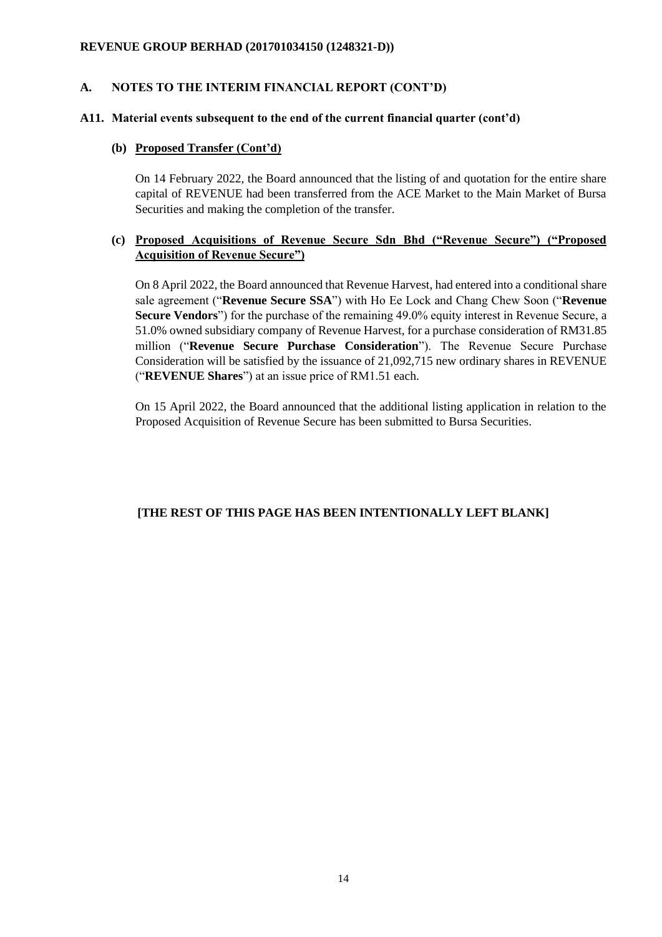## **A. NOTES TO THE INTERIM FINANCIAL REPORT (CONT'D)**

### **A11. Material events subsequent to the end of the current financial quarter (cont'd)**

### **(b) Proposed Transfer (Cont'd)**

On 14 February 2022, the Board announced that the listing of and quotation for the entire share capital of REVENUE had been transferred from the ACE Market to the Main Market of Bursa Securities and making the completion of the transfer.

## **(c) Proposed Acquisitions of Revenue Secure Sdn Bhd ("Revenue Secure") ("Proposed Acquisition of Revenue Secure")**

On 8 April 2022, the Board announced that Revenue Harvest, had entered into a conditional share sale agreement ("**Revenue Secure SSA**") with Ho Ee Lock and Chang Chew Soon ("**Revenue Secure Vendors**") for the purchase of the remaining 49.0% equity interest in Revenue Secure, a 51.0% owned subsidiary company of Revenue Harvest, for a purchase consideration of RM31.85 million ("**Revenue Secure Purchase Consideration**"). The Revenue Secure Purchase Consideration will be satisfied by the issuance of 21,092,715 new ordinary shares in REVENUE ("**REVENUE Shares**") at an issue price of RM1.51 each.

On 15 April 2022, the Board announced that the additional listing application in relation to the Proposed Acquisition of Revenue Secure has been submitted to Bursa Securities.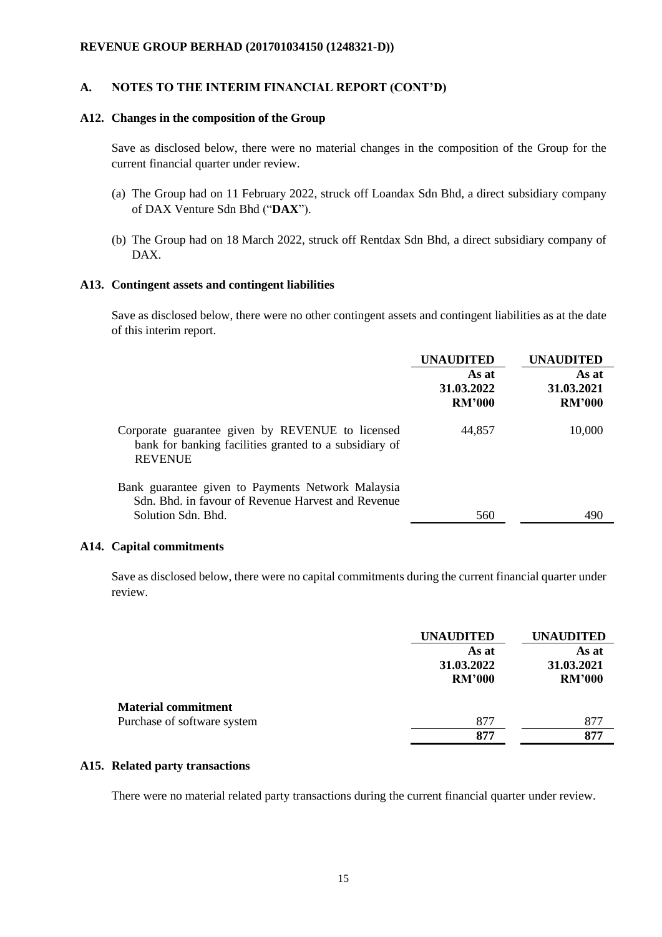#### **A. NOTES TO THE INTERIM FINANCIAL REPORT (CONT'D)**

#### **A12. Changes in the composition of the Group**

Save as disclosed below, there were no material changes in the composition of the Group for the current financial quarter under review.

- (a) The Group had on 11 February 2022, struck off Loandax Sdn Bhd, a direct subsidiary company of DAX Venture Sdn Bhd ("**DAX**").
- (b) The Group had on 18 March 2022, struck off Rentdax Sdn Bhd, a direct subsidiary company of DAX.

#### **A13. Contingent assets and contingent liabilities**

Save as disclosed below, there were no other contingent assets and contingent liabilities as at the date of this interim report.

|                                                                                                                              | <b>UNAUDITED</b>                     | UNAUDITED                            |
|------------------------------------------------------------------------------------------------------------------------------|--------------------------------------|--------------------------------------|
|                                                                                                                              | As at<br>31.03.2022<br><b>RM'000</b> | As at<br>31.03.2021<br><b>RM'000</b> |
| Corporate guarantee given by REVENUE to licensed<br>bank for banking facilities granted to a subsidiary of<br><b>REVENUE</b> | 44,857                               | 10,000                               |
| Bank guarantee given to Payments Network Malaysia<br>Sdn. Bhd. in favour of Revenue Harvest and Revenue                      |                                      |                                      |
| Solution Sdn. Bhd.                                                                                                           | 560                                  | 490                                  |

#### **A14. Capital commitments**

Save as disclosed below, there were no capital commitments during the current financial quarter under review.

|                             | <b>UNAUDITED</b> | <b>UNAUDITED</b> |  |
|-----------------------------|------------------|------------------|--|
|                             | As at            | As at            |  |
|                             | 31.03.2022       | 31.03.2021       |  |
|                             | <b>RM'000</b>    | <b>RM'000</b>    |  |
| <b>Material commitment</b>  |                  |                  |  |
| Purchase of software system | 877              | 877              |  |
|                             | 877              | 877              |  |

### **A15. Related party transactions**

There were no material related party transactions during the current financial quarter under review.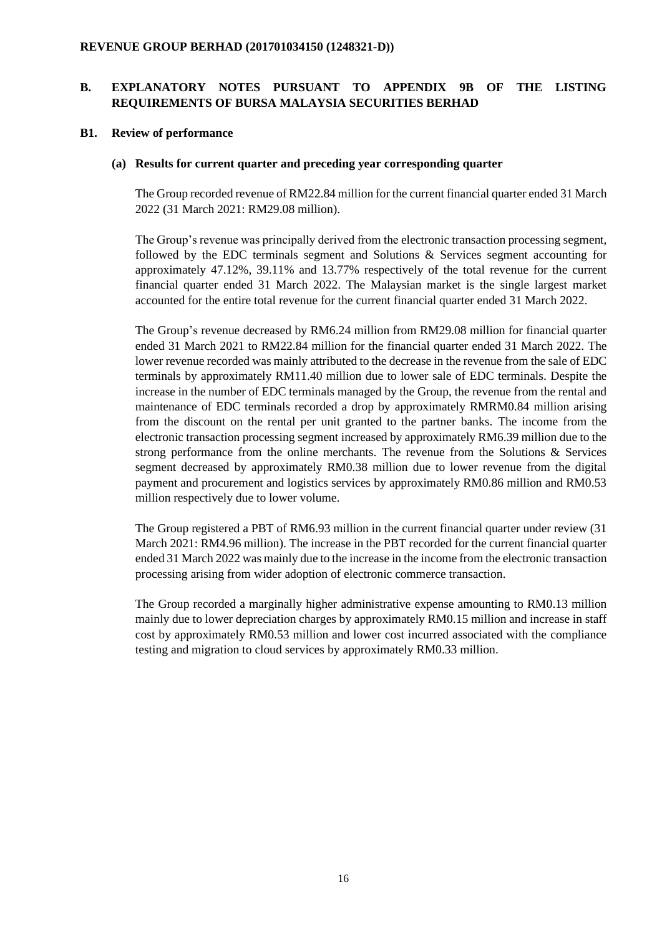### **B1. Review of performance**

### **(a) Results for current quarter and preceding year corresponding quarter**

The Group recorded revenue of RM22.84 million for the current financial quarter ended 31 March 2022 (31 March 2021: RM29.08 million).

The Group's revenue was principally derived from the electronic transaction processing segment, followed by the EDC terminals segment and Solutions & Services segment accounting for approximately 47.12%, 39.11% and 13.77% respectively of the total revenue for the current financial quarter ended 31 March 2022. The Malaysian market is the single largest market accounted for the entire total revenue for the current financial quarter ended 31 March 2022.

The Group's revenue decreased by RM6.24 million from RM29.08 million for financial quarter ended 31 March 2021 to RM22.84 million for the financial quarter ended 31 March 2022. The lower revenue recorded was mainly attributed to the decrease in the revenue from the sale of EDC terminals by approximately RM11.40 million due to lower sale of EDC terminals. Despite the increase in the number of EDC terminals managed by the Group, the revenue from the rental and maintenance of EDC terminals recorded a drop by approximately RMRM0.84 million arising from the discount on the rental per unit granted to the partner banks. The income from the electronic transaction processing segment increased by approximately RM6.39 million due to the strong performance from the online merchants. The revenue from the Solutions & Services segment decreased by approximately RM0.38 million due to lower revenue from the digital payment and procurement and logistics services by approximately RM0.86 million and RM0.53 million respectively due to lower volume.

The Group registered a PBT of RM6.93 million in the current financial quarter under review (31 March 2021: RM4.96 million). The increase in the PBT recorded for the current financial quarter ended 31 March 2022 was mainly due to the increase in the income from the electronic transaction processing arising from wider adoption of electronic commerce transaction.

The Group recorded a marginally higher administrative expense amounting to RM0.13 million mainly due to lower depreciation charges by approximately RM0.15 million and increase in staff cost by approximately RM0.53 million and lower cost incurred associated with the compliance testing and migration to cloud services by approximately RM0.33 million.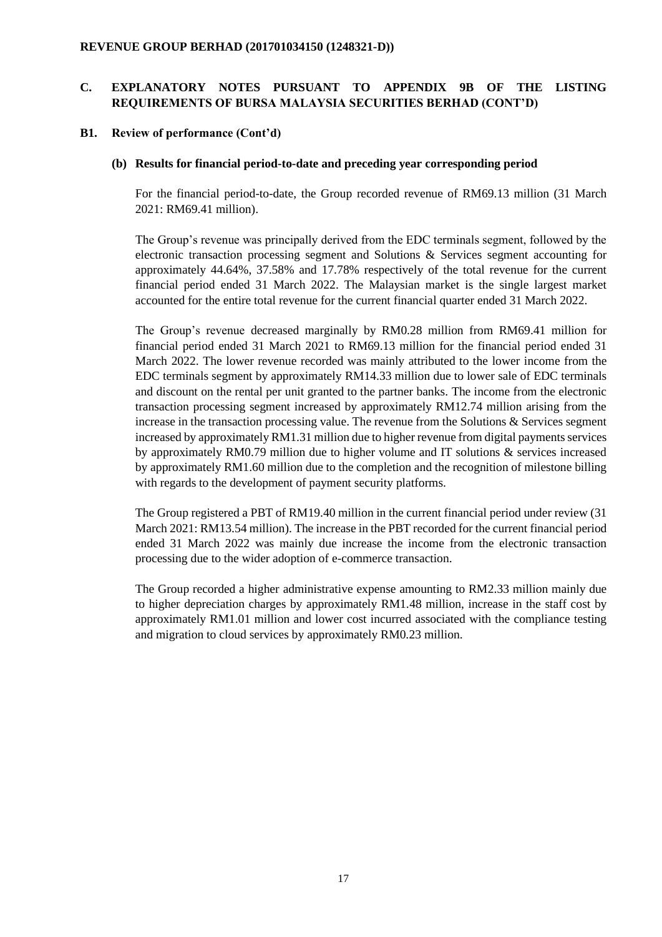### **B1. Review of performance (Cont'd)**

### **(b) Results for financial period-to-date and preceding year corresponding period**

For the financial period-to-date, the Group recorded revenue of RM69.13 million (31 March 2021: RM69.41 million).

The Group's revenue was principally derived from the EDC terminals segment, followed by the electronic transaction processing segment and Solutions & Services segment accounting for approximately 44.64%, 37.58% and 17.78% respectively of the total revenue for the current financial period ended 31 March 2022. The Malaysian market is the single largest market accounted for the entire total revenue for the current financial quarter ended 31 March 2022.

The Group's revenue decreased marginally by RM0.28 million from RM69.41 million for financial period ended 31 March 2021 to RM69.13 million for the financial period ended 31 March 2022. The lower revenue recorded was mainly attributed to the lower income from the EDC terminals segment by approximately RM14.33 million due to lower sale of EDC terminals and discount on the rental per unit granted to the partner banks. The income from the electronic transaction processing segment increased by approximately RM12.74 million arising from the increase in the transaction processing value. The revenue from the Solutions & Services segment increased by approximately RM1.31 million due to higher revenue from digital payments services by approximately RM0.79 million due to higher volume and IT solutions & services increased by approximately RM1.60 million due to the completion and the recognition of milestone billing with regards to the development of payment security platforms.

The Group registered a PBT of RM19.40 million in the current financial period under review (31 March 2021: RM13.54 million). The increase in the PBT recorded for the current financial period ended 31 March 2022 was mainly due increase the income from the electronic transaction processing due to the wider adoption of e-commerce transaction.

The Group recorded a higher administrative expense amounting to RM2.33 million mainly due to higher depreciation charges by approximately RM1.48 million, increase in the staff cost by approximately RM1.01 million and lower cost incurred associated with the compliance testing and migration to cloud services by approximately RM0.23 million.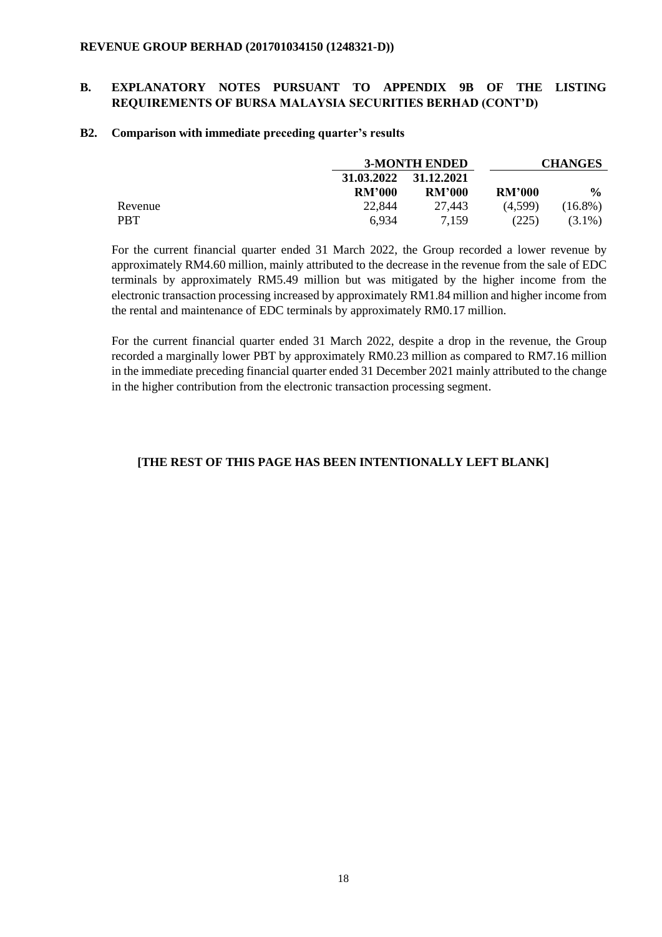## **B. EXPLANATORY NOTES PURSUANT TO APPENDIX 9B OF THE LISTING REQUIREMENTS OF BURSA MALAYSIA SECURITIES BERHAD (CONT'D)**

#### **B2. Comparison with immediate preceding quarter's results**

|            |               | <b>3-MONTH ENDED</b> |               | <b>CHANGES</b> |
|------------|---------------|----------------------|---------------|----------------|
|            | 31.03.2022    | 31.12.2021           |               |                |
|            | <b>RM'000</b> | <b>RM'000</b>        | <b>RM'000</b> | $\frac{6}{6}$  |
| Revenue    | 22,844        | 27.443               | (4,599)       | $(16.8\%)$     |
| <b>PBT</b> | 6,934         | 7.159                | (225)         | $(3.1\%)$      |

For the current financial quarter ended 31 March 2022, the Group recorded a lower revenue by approximately RM4.60 million, mainly attributed to the decrease in the revenue from the sale of EDC terminals by approximately RM5.49 million but was mitigated by the higher income from the electronic transaction processing increased by approximately RM1.84 million and higher income from the rental and maintenance of EDC terminals by approximately RM0.17 million.

For the current financial quarter ended 31 March 2022, despite a drop in the revenue, the Group recorded a marginally lower PBT by approximately RM0.23 million as compared to RM7.16 million in the immediate preceding financial quarter ended 31 December 2021 mainly attributed to the change in the higher contribution from the electronic transaction processing segment.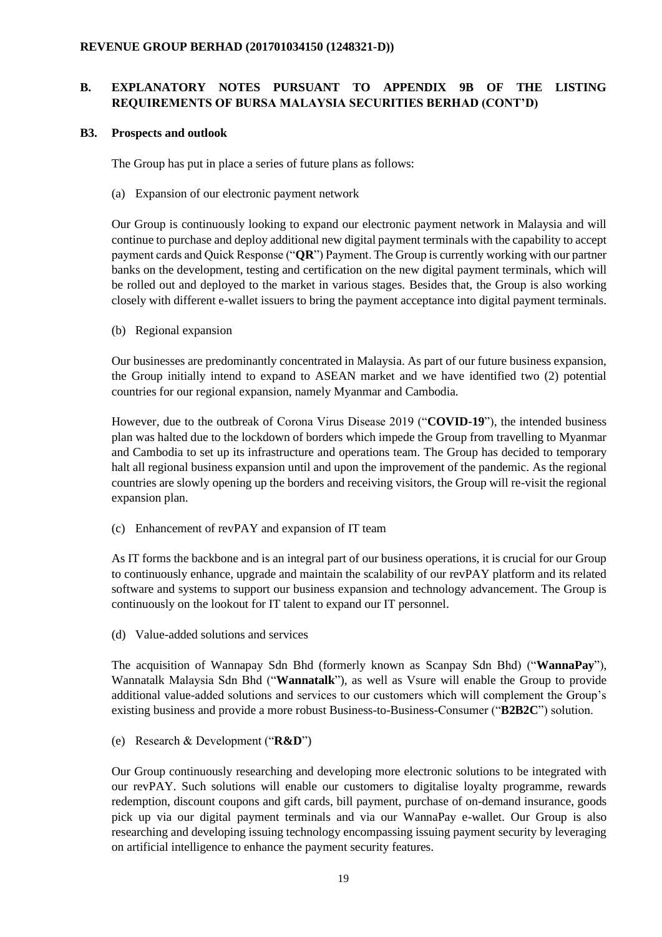## **B3. Prospects and outlook**

The Group has put in place a series of future plans as follows:

(a) Expansion of our electronic payment network

Our Group is continuously looking to expand our electronic payment network in Malaysia and will continue to purchase and deploy additional new digital payment terminals with the capability to accept payment cards and Quick Response ("**QR**") Payment. The Group is currently working with our partner banks on the development, testing and certification on the new digital payment terminals, which will be rolled out and deployed to the market in various stages. Besides that, the Group is also working closely with different e-wallet issuers to bring the payment acceptance into digital payment terminals.

(b) Regional expansion

Our businesses are predominantly concentrated in Malaysia. As part of our future business expansion, the Group initially intend to expand to ASEAN market and we have identified two (2) potential countries for our regional expansion, namely Myanmar and Cambodia.

However, due to the outbreak of Corona Virus Disease 2019 ("**COVID-19**"), the intended business plan was halted due to the lockdown of borders which impede the Group from travelling to Myanmar and Cambodia to set up its infrastructure and operations team. The Group has decided to temporary halt all regional business expansion until and upon the improvement of the pandemic. As the regional countries are slowly opening up the borders and receiving visitors, the Group will re-visit the regional expansion plan.

(c) Enhancement of revPAY and expansion of IT team

As IT forms the backbone and is an integral part of our business operations, it is crucial for our Group to continuously enhance, upgrade and maintain the scalability of our revPAY platform and its related software and systems to support our business expansion and technology advancement. The Group is continuously on the lookout for IT talent to expand our IT personnel.

(d) Value-added solutions and services

The acquisition of Wannapay Sdn Bhd (formerly known as Scanpay Sdn Bhd) ("**WannaPay**"), Wannatalk Malaysia Sdn Bhd ("**Wannatalk**"), as well as Vsure will enable the Group to provide additional value-added solutions and services to our customers which will complement the Group's existing business and provide a more robust Business-to-Business-Consumer ("**B2B2C**") solution.

(e) Research & Development ("**R&D**")

Our Group continuously researching and developing more electronic solutions to be integrated with our revPAY. Such solutions will enable our customers to digitalise loyalty programme, rewards redemption, discount coupons and gift cards, bill payment, purchase of on-demand insurance, goods pick up via our digital payment terminals and via our WannaPay e-wallet. Our Group is also researching and developing issuing technology encompassing issuing payment security by leveraging on artificial intelligence to enhance the payment security features.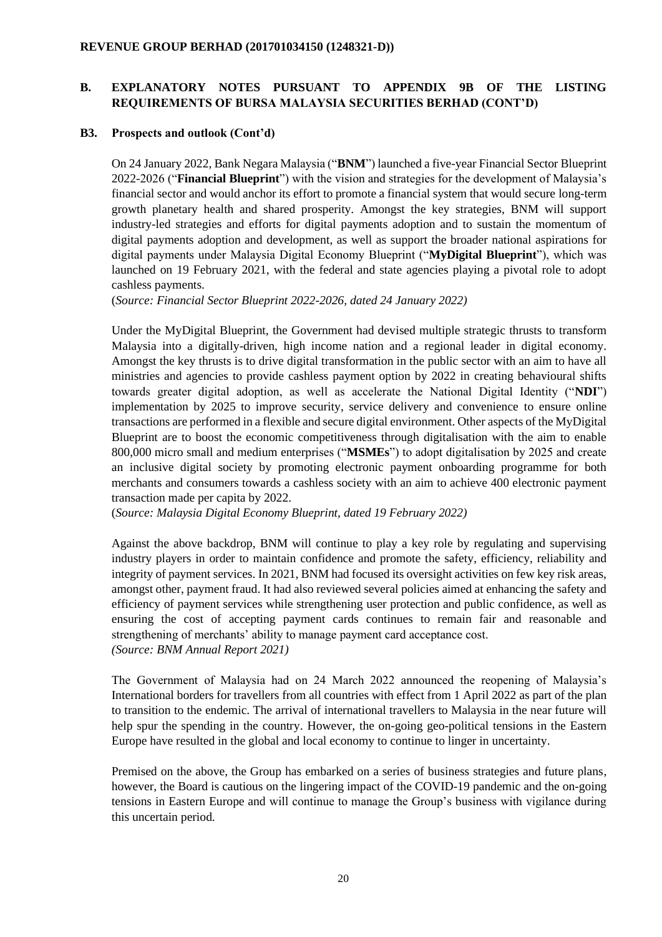### **B3. Prospects and outlook (Cont'd)**

On 24 January 2022, Bank Negara Malaysia ("**BNM**") launched a five-year Financial Sector Blueprint 2022-2026 ("**Financial Blueprint**") with the vision and strategies for the development of Malaysia's financial sector and would anchor its effort to promote a financial system that would secure long-term growth planetary health and shared prosperity. Amongst the key strategies, BNM will support industry-led strategies and efforts for digital payments adoption and to sustain the momentum of digital payments adoption and development, as well as support the broader national aspirations for digital payments under Malaysia Digital Economy Blueprint ("**MyDigital Blueprint**"), which was launched on 19 February 2021, with the federal and state agencies playing a pivotal role to adopt cashless payments.

(*Source: Financial Sector Blueprint 2022-2026, dated 24 January 2022)*

Under the MyDigital Blueprint, the Government had devised multiple strategic thrusts to transform Malaysia into a digitally-driven, high income nation and a regional leader in digital economy. Amongst the key thrusts is to drive digital transformation in the public sector with an aim to have all ministries and agencies to provide cashless payment option by 2022 in creating behavioural shifts towards greater digital adoption, as well as accelerate the National Digital Identity ("**NDI**") implementation by 2025 to improve security, service delivery and convenience to ensure online transactions are performed in a flexible and secure digital environment. Other aspects of the MyDigital Blueprint are to boost the economic competitiveness through digitalisation with the aim to enable 800,000 micro small and medium enterprises ("**MSMEs**") to adopt digitalisation by 2025 and create an inclusive digital society by promoting electronic payment onboarding programme for both merchants and consumers towards a cashless society with an aim to achieve 400 electronic payment transaction made per capita by 2022.

(*Source: Malaysia Digital Economy Blueprint, dated 19 February 2022)*

Against the above backdrop, BNM will continue to play a key role by regulating and supervising industry players in order to maintain confidence and promote the safety, efficiency, reliability and integrity of payment services. In 2021, BNM had focused its oversight activities on few key risk areas, amongst other, payment fraud. It had also reviewed several policies aimed at enhancing the safety and efficiency of payment services while strengthening user protection and public confidence, as well as ensuring the cost of accepting payment cards continues to remain fair and reasonable and strengthening of merchants' ability to manage payment card acceptance cost. *(Source: BNM Annual Report 2021)*

The Government of Malaysia had on 24 March 2022 announced the reopening of Malaysia's International borders for travellers from all countries with effect from 1 April 2022 as part of the plan to transition to the endemic. The arrival of international travellers to Malaysia in the near future will help spur the spending in the country. However, the on-going geo-political tensions in the Eastern Europe have resulted in the global and local economy to continue to linger in uncertainty.

Premised on the above, the Group has embarked on a series of business strategies and future plans, however, the Board is cautious on the lingering impact of the COVID-19 pandemic and the on-going tensions in Eastern Europe and will continue to manage the Group's business with vigilance during this uncertain period.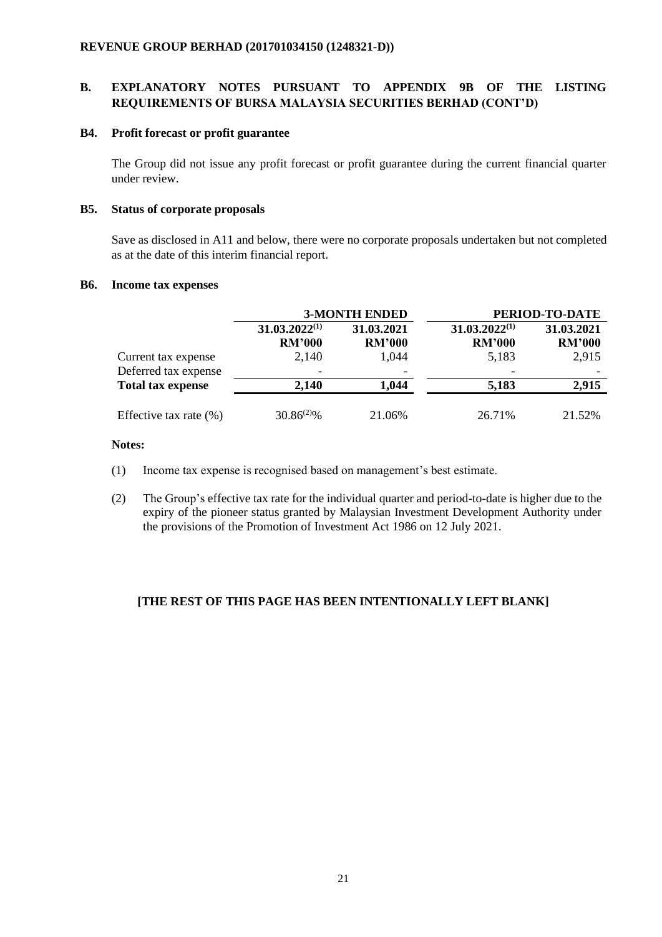### **B4. Profit forecast or profit guarantee**

The Group did not issue any profit forecast or profit guarantee during the current financial quarter under review.

## **B5. Status of corporate proposals**

Save as disclosed in A11 and below, there were no corporate proposals undertaken but not completed as at the date of this interim financial report.

### **B6. Income tax expenses**

|                                             |                                     | <b>3-MONTH ENDED</b>        |                                     | PERIOD-TO-DATE              |
|---------------------------------------------|-------------------------------------|-----------------------------|-------------------------------------|-----------------------------|
|                                             | $31.03.2022^{(1)}$<br><b>RM'000</b> | 31.03.2021<br><b>RM'000</b> | $31.03.2022^{(1)}$<br><b>RM'000</b> | 31.03.2021<br><b>RM'000</b> |
| Current tax expense<br>Deferred tax expense | 2,140                               | 1,044                       | 5,183                               | 2,915                       |
| <b>Total tax expense</b>                    | 2,140                               | 1,044                       | 5,183                               | 2,915                       |
| Effective tax rate $(\%)$                   | $30.86^{(2)}\%$                     | 21.06%                      | 26.71%                              | 21.52%                      |

## **Notes:**

- (1) Income tax expense is recognised based on management's best estimate.
- (2) The Group's effective tax rate for the individual quarter and period-to-date is higher due to the expiry of the pioneer status granted by Malaysian Investment Development Authority under the provisions of the Promotion of Investment Act 1986 on 12 July 2021.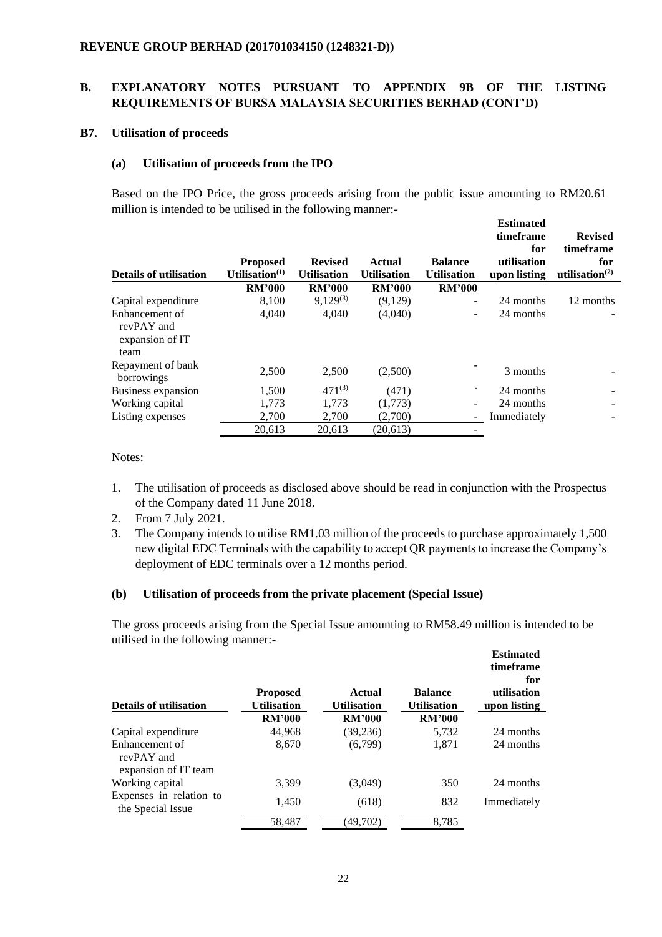### **B7. Utilisation of proceeds**

### **(a) Utilisation of proceeds from the IPO**

Based on the IPO Price, the gross proceeds arising from the public issue amounting to RM20.61 million is intended to be utilised in the following manner:-

**Estimated** 

| <b>Details of utilisation</b>                           | <b>Proposed</b><br>Utilisation $(1)$ | <b>Revised</b><br><b>Utilisation</b> | Actual<br><b>Utilisation</b> | <b>Balance</b><br><b>Utilisation</b> | timeframe<br>for<br>utilisation<br>upon listing | <b>Revised</b><br>timeframe<br>for<br>utilisation $^{(2)}$ |
|---------------------------------------------------------|--------------------------------------|--------------------------------------|------------------------------|--------------------------------------|-------------------------------------------------|------------------------------------------------------------|
|                                                         | <b>RM'000</b>                        | <b>RM'000</b>                        | <b>RM'000</b>                | <b>RM'000</b>                        |                                                 |                                                            |
| Capital expenditure                                     | 8,100                                | $9,129^{(3)}$                        | (9,129)                      | ٠                                    | 24 months                                       | 12 months                                                  |
| Enhancement of<br>revPAY and<br>expansion of IT<br>team | 4,040                                | 4,040                                | (4,040)                      | $\qquad \qquad -$                    | 24 months                                       |                                                            |
| Repayment of bank<br>borrowings                         | 2,500                                | 2,500                                | (2,500)                      |                                      | 3 months                                        |                                                            |
| Business expansion                                      | 1.500                                | $471^{(3)}$                          | (471)                        |                                      | 24 months                                       |                                                            |
| Working capital                                         | 1,773                                | 1.773                                | (1,773)                      | $\qquad \qquad -$                    | 24 months                                       |                                                            |
| Listing expenses                                        | 2,700                                | 2,700                                | (2,700)                      | -                                    | Immediately                                     |                                                            |
|                                                         | 20,613                               | 20,613                               | (20,613)                     |                                      |                                                 |                                                            |

Notes:

- 1. The utilisation of proceeds as disclosed above should be read in conjunction with the Prospectus of the Company dated 11 June 2018.
- 2. From 7 July 2021.
- 3. The Company intends to utilise RM1.03 million of the proceeds to purchase approximately 1,500 new digital EDC Terminals with the capability to accept QR payments to increase the Company's deployment of EDC terminals over a 12 months period.

#### **(b) Utilisation of proceeds from the private placement (Special Issue)**

The gross proceeds arising from the Special Issue amounting to RM58.49 million is intended to be utilised in the following manner:- **Estimated** 

| <b>Details of utilisation</b>                        | <b>Proposed</b><br><b>Utilisation</b> | <b>Actual</b><br><b>Utilisation</b> | <b>Balance</b><br><b>Utilisation</b> | <b>Estimated</b><br>timeframe<br>for<br>utilisation<br>upon listing |
|------------------------------------------------------|---------------------------------------|-------------------------------------|--------------------------------------|---------------------------------------------------------------------|
|                                                      | <b>RM'000</b>                         | <b>RM'000</b>                       | <b>RM'000</b>                        |                                                                     |
| Capital expenditure                                  | 44,968                                | (39, 236)                           | 5,732                                | 24 months                                                           |
| Enhancement of<br>revPAY and<br>expansion of IT team | 8,670                                 | (6,799)                             | 1.871                                | 24 months                                                           |
| Working capital                                      | 3.399                                 | (3,049)                             | 350                                  | 24 months                                                           |
| Expenses in relation to<br>the Special Issue         | 1,450                                 | (618)                               | 832                                  | Immediately                                                         |
|                                                      | 58,487                                | (49,702)                            | 8,785                                |                                                                     |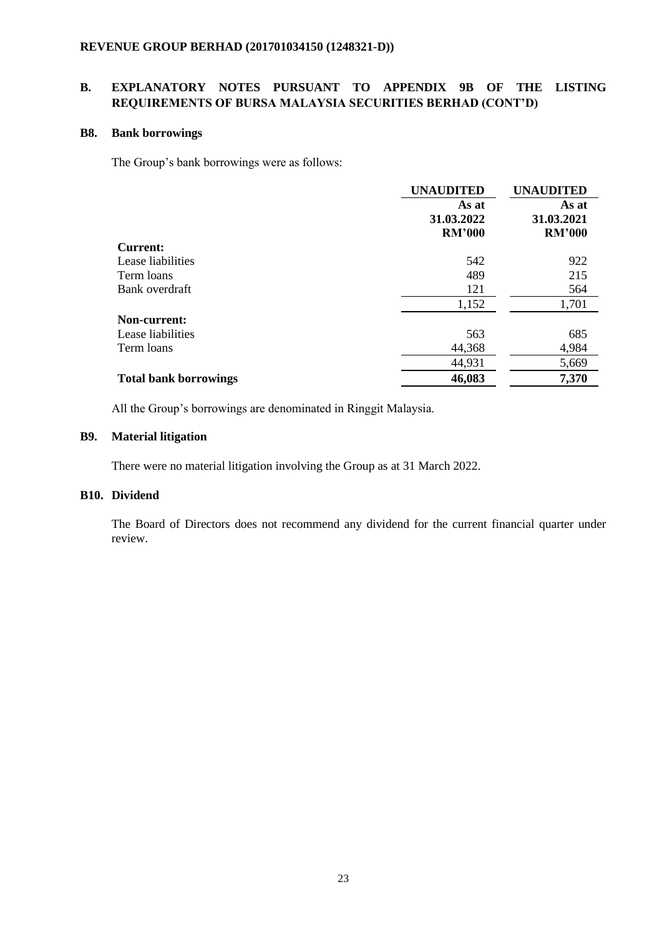### **B8. Bank borrowings**

The Group's bank borrowings were as follows:

|                              | <b>UNAUDITED</b> | <b>UNAUDITED</b> |  |
|------------------------------|------------------|------------------|--|
|                              | As at            | As at            |  |
|                              | 31.03.2022       | 31.03.2021       |  |
|                              | <b>RM'000</b>    | <b>RM'000</b>    |  |
| <b>Current:</b>              |                  |                  |  |
| Lease liabilities            | 542              | 922              |  |
| Term loans                   | 489              | 215              |  |
| Bank overdraft               | 121              | 564              |  |
|                              | 1,152            | 1,701            |  |
| Non-current:                 |                  |                  |  |
| Lease liabilities            | 563              | 685              |  |
| Term loans                   | 44,368           | 4,984            |  |
|                              | 44,931           | 5,669            |  |
| <b>Total bank borrowings</b> | 46,083           | 7,370            |  |

All the Group's borrowings are denominated in Ringgit Malaysia.

## **B9. Material litigation**

There were no material litigation involving the Group as at 31 March 2022.

## **B10. Dividend**

The Board of Directors does not recommend any dividend for the current financial quarter under review.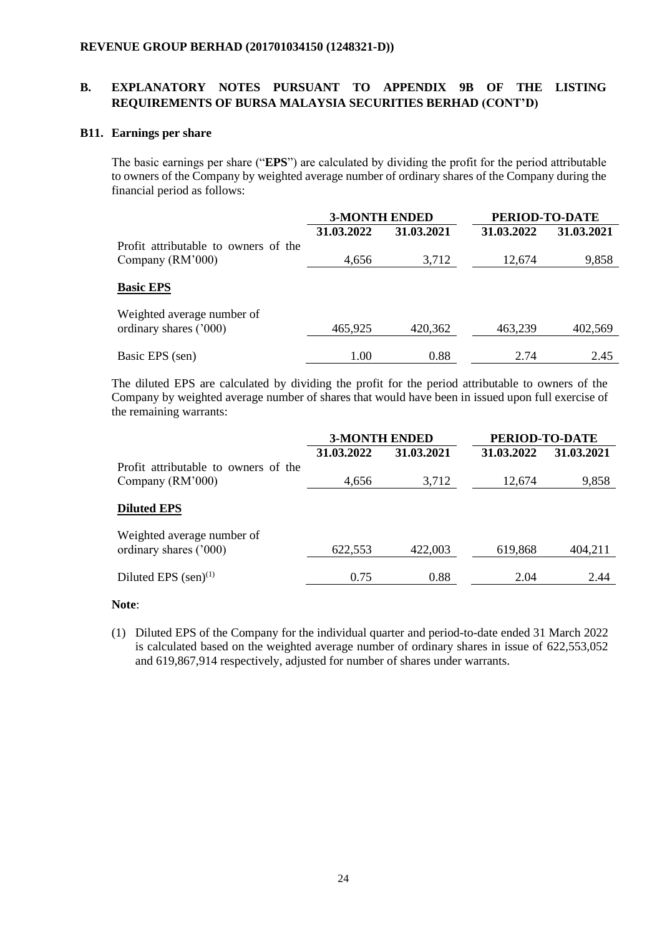### **B11. Earnings per share**

The basic earnings per share ("**EPS**") are calculated by dividing the profit for the period attributable to owners of the Company by weighted average number of ordinary shares of the Company during the financial period as follows:

|                                                      | <b>3-MONTH ENDED</b> |            | PERIOD-TO-DATE |            |
|------------------------------------------------------|----------------------|------------|----------------|------------|
|                                                      | 31.03.2022           | 31.03.2021 | 31.03.2022     | 31.03.2021 |
| Profit attributable to owners of the                 |                      |            |                |            |
| Company (RM'000)                                     | 4,656                | 3,712      | 12,674         | 9,858      |
| <b>Basic EPS</b>                                     |                      |            |                |            |
| Weighted average number of<br>ordinary shares ('000) | 465,925              | 420,362    | 463,239        | 402,569    |
| Basic EPS (sen)                                      | 1.00                 | 0.88       | 2.74           | 2.45       |

The diluted EPS are calculated by dividing the profit for the period attributable to owners of the Company by weighted average number of shares that would have been in issued upon full exercise of the remaining warrants:

|                                                          | <b>3-MONTH ENDED</b> |            | PERIOD-TO-DATE |            |
|----------------------------------------------------------|----------------------|------------|----------------|------------|
|                                                          | 31.03.2022           | 31.03.2021 | 31.03.2022     | 31.03.2021 |
| Profit attributable to owners of the<br>Company (RM'000) | 4,656                | 3,712      | 12,674         | 9,858      |
| <b>Diluted EPS</b>                                       |                      |            |                |            |
| Weighted average number of<br>ordinary shares ('000)     | 622,553              | 422,003    | 619,868        | 404,211    |
| Diluted EPS $(\text{sen})^{(1)}$                         | 0.75                 | 0.88       | 2.04           | 2.44       |

### **Note**:

(1) Diluted EPS of the Company for the individual quarter and period-to-date ended 31 March 2022 is calculated based on the weighted average number of ordinary shares in issue of 622,553,052 and 619,867,914 respectively, adjusted for number of shares under warrants.